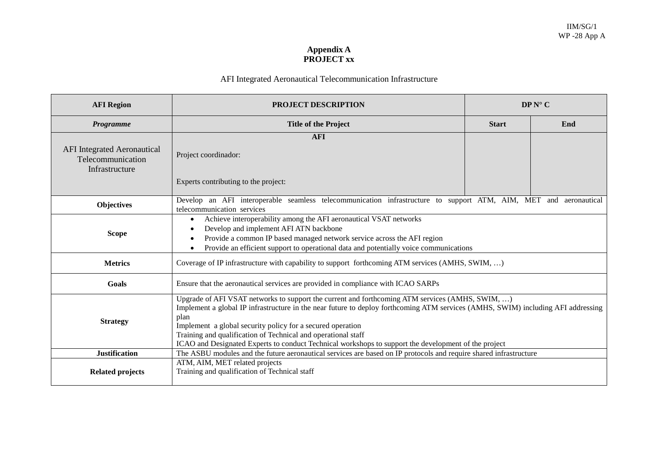## **Appendix A PROJECT xx**

## AFI Integrated Aeronautical Telecommunication Infrastructure

| <b>AFI Region</b>                                                         | <b>PROJECT DESCRIPTION</b>                                                                                                                                                                                                                                                                                                                                                                                                                                                         | $DPN^{\circ}C$ |     |  |  |  |  |
|---------------------------------------------------------------------------|------------------------------------------------------------------------------------------------------------------------------------------------------------------------------------------------------------------------------------------------------------------------------------------------------------------------------------------------------------------------------------------------------------------------------------------------------------------------------------|----------------|-----|--|--|--|--|
| Programme                                                                 | <b>Title of the Project</b>                                                                                                                                                                                                                                                                                                                                                                                                                                                        | <b>Start</b>   | End |  |  |  |  |
| <b>AFI</b> Integrated Aeronautical<br>Telecommunication<br>Infrastructure | <b>AFI</b><br>Project coordinador:<br>Experts contributing to the project:                                                                                                                                                                                                                                                                                                                                                                                                         |                |     |  |  |  |  |
| <b>Objectives</b>                                                         | Develop an AFI interoperable seamless telecommunication infrastructure to support ATM, AIM, MET and aeronautical<br>telecommunication services                                                                                                                                                                                                                                                                                                                                     |                |     |  |  |  |  |
| <b>Scope</b>                                                              | Achieve interoperability among the AFI aeronautical VSAT networks<br>$\bullet$<br>Develop and implement AFI ATN backbone<br>Provide a common IP based managed network service across the AFI region<br>Provide an efficient support to operational data and potentially voice communications                                                                                                                                                                                       |                |     |  |  |  |  |
| <b>Metrics</b>                                                            | Coverage of IP infrastructure with capability to support forthcoming ATM services (AMHS, SWIM, )                                                                                                                                                                                                                                                                                                                                                                                   |                |     |  |  |  |  |
| Goals                                                                     | Ensure that the aeronautical services are provided in compliance with ICAO SARPs                                                                                                                                                                                                                                                                                                                                                                                                   |                |     |  |  |  |  |
| <b>Strategy</b>                                                           | Upgrade of AFI VSAT networks to support the current and forthcoming ATM services (AMHS, SWIM, )<br>Implement a global IP infrastructure in the near future to deploy forthcoming ATM services (AMHS, SWIM) including AFI addressing<br>plan<br>Implement a global security policy for a secured operation<br>Training and qualification of Technical and operational staff<br>ICAO and Designated Experts to conduct Technical workshops to support the development of the project |                |     |  |  |  |  |
| <b>Justification</b>                                                      | The ASBU modules and the future aeronautical services are based on IP protocols and require shared infrastructure                                                                                                                                                                                                                                                                                                                                                                  |                |     |  |  |  |  |
| <b>Related projects</b>                                                   | ATM, AIM, MET related projects<br>Training and qualification of Technical staff                                                                                                                                                                                                                                                                                                                                                                                                    |                |     |  |  |  |  |